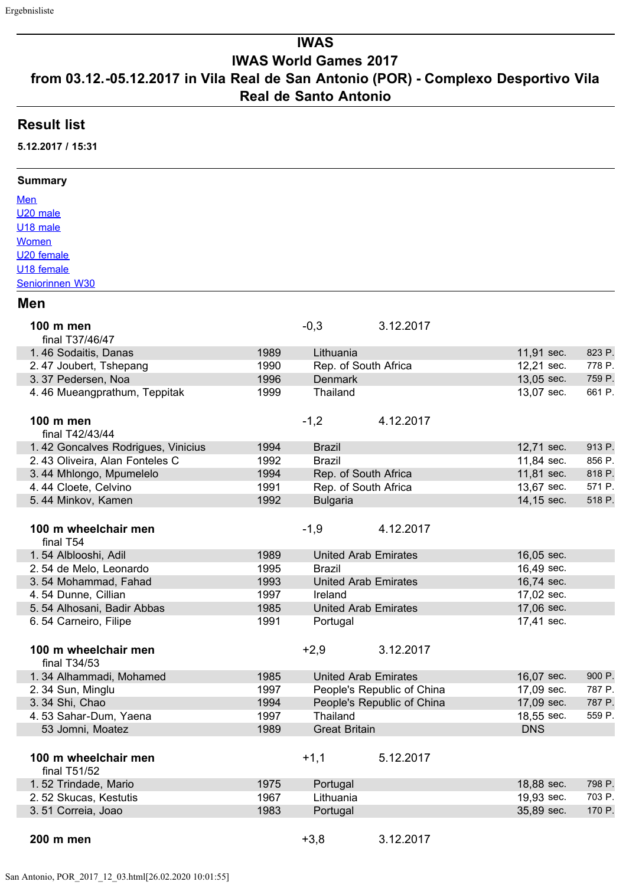# **IWAS**

# **IWAS World Games 2017**

## **from 03.12.-05.12.2017 in Vila Real de San Antonio (POR) - Complexo Desportivo Vila Real de Santo Antonio**

### **Result list**

**5.12.2017 / 15:31**

#### **Summary**

**Men** U20 male U18 male **Women** U20 female U18 female Seniorinnen W30

#### **Men**

| 100 m men<br>final T37/46/47         |      | $-0,3$               | 3.12.2017                   |            |        |
|--------------------------------------|------|----------------------|-----------------------------|------------|--------|
| 1.46 Sodaitis, Danas                 | 1989 | Lithuania            |                             | 11,91 sec. | 823 P. |
| 2.47 Joubert, Tshepang               | 1990 | Rep. of South Africa |                             | 12,21 sec. | 778 P. |
| 3.37 Pedersen, Noa                   | 1996 | <b>Denmark</b>       |                             | 13,05 sec. | 759 P. |
| 4.46 Mueangprathum, Teppitak         | 1999 | Thailand             |                             | 13,07 sec. | 661 P. |
| <b>100 m men</b>                     |      | $-1,2$               | 4.12.2017                   |            |        |
| final T42/43/44                      |      |                      |                             |            |        |
| 1.42 Goncalves Rodrigues, Vinicius   | 1994 | <b>Brazil</b>        |                             | 12,71 sec. | 913 P. |
| 2.43 Oliveira, Alan Fonteles C       | 1992 | <b>Brazil</b>        |                             | 11,84 sec. | 856 P. |
| 3.44 Mhlongo, Mpumelelo              | 1994 | Rep. of South Africa |                             | 11,81 sec. | 818 P. |
| 4.44 Cloete, Celvino                 | 1991 | Rep. of South Africa |                             | 13,67 sec. | 571 P. |
| 5.44 Minkov, Kamen                   | 1992 | <b>Bulgaria</b>      |                             | 14,15 sec. | 518 P. |
| 100 m wheelchair men<br>final T54    |      | $-1,9$               | 4.12.2017                   |            |        |
| 1.54 Alblooshi, Adil                 | 1989 |                      | <b>United Arab Emirates</b> | 16,05 sec. |        |
| 2.54 de Melo, Leonardo               | 1995 | Brazil               |                             | 16,49 sec. |        |
| 3.54 Mohammad, Fahad                 | 1993 |                      | <b>United Arab Emirates</b> | 16,74 sec. |        |
| 4.54 Dunne, Cillian                  | 1997 | Ireland              |                             | 17,02 sec. |        |
| 5.54 Alhosani, Badir Abbas           | 1985 |                      | <b>United Arab Emirates</b> | 17,06 sec. |        |
| 6.54 Carneiro, Filipe                | 1991 | Portugal             |                             | 17,41 sec. |        |
|                                      |      |                      |                             |            |        |
| 100 m wheelchair men<br>final T34/53 |      | $+2,9$               | 3.12.2017                   |            |        |
| 1.34 Alhammadi, Mohamed              | 1985 |                      | <b>United Arab Emirates</b> | 16,07 sec. | 900 P. |
| 2.34 Sun, Minglu                     | 1997 |                      | People's Republic of China  | 17,09 sec. | 787 P. |
| 3. 34 Shi, Chao                      | 1994 |                      | People's Republic of China  | 17,09 sec. | 787 P. |
| 4.53 Sahar-Dum, Yaena                | 1997 | Thailand             |                             | 18,55 sec. | 559 P. |
| 53 Jomni, Moatez                     | 1989 | <b>Great Britain</b> |                             | <b>DNS</b> |        |
| 100 m wheelchair men                 |      | $+1,1$               | 5.12.2017                   |            |        |
| final T51/52                         |      |                      |                             |            |        |
| 1.52 Trindade, Mario                 | 1975 | Portugal             |                             | 18,88 sec. | 798 P. |
| 2.52 Skucas, Kestutis                | 1967 | Lithuania            |                             | 19,93 sec. | 703 P. |
| 3.51 Correia, Joao                   | 1983 | Portugal             |                             | 35,89 sec. | 170 P. |
|                                      |      |                      |                             |            |        |
| 200 m men                            |      | $+3,8$               | 3.12.2017                   |            |        |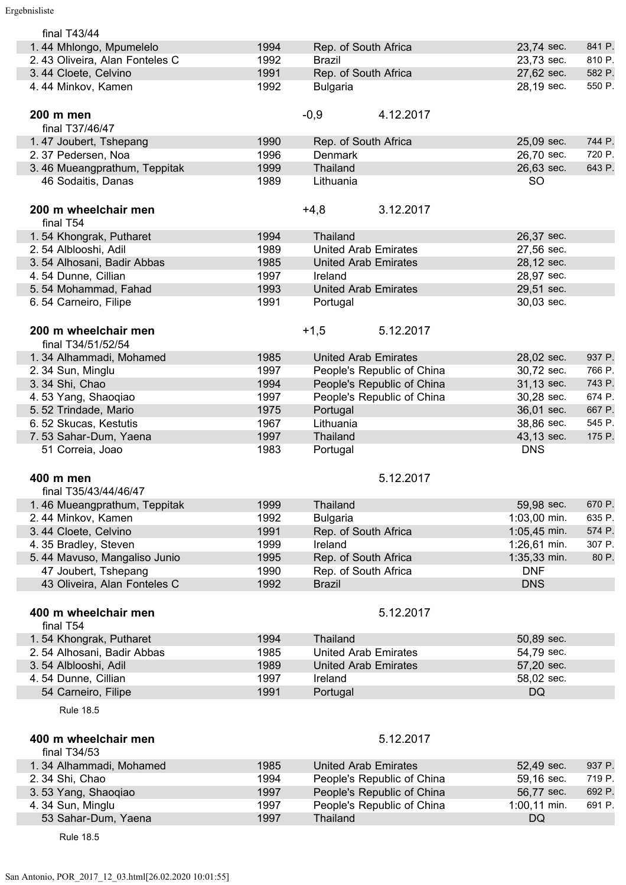I

| final T43/44                   |      |                             |              |        |
|--------------------------------|------|-----------------------------|--------------|--------|
| 1.44 Mhlongo, Mpumelelo        | 1994 | Rep. of South Africa        | 23,74 sec.   | 841 P. |
| 2.43 Oliveira, Alan Fonteles C | 1992 | <b>Brazil</b>               | 23,73 sec.   | 810 P. |
| 3.44 Cloete, Celvino           | 1991 | Rep. of South Africa        | 27,62 sec.   | 582 P. |
| 4.44 Minkov, Kamen             | 1992 | <b>Bulgaria</b>             | 28,19 sec.   | 550 P. |
|                                |      |                             |              |        |
| 200 m men                      |      | $-0,9$<br>4.12.2017         |              |        |
| final T37/46/47                |      |                             |              |        |
| 1.47 Joubert, Tshepang         | 1990 | Rep. of South Africa        | 25,09 sec.   | 744 P. |
|                                | 1996 | Denmark                     | 26,70 sec.   | 720 P. |
| 2.37 Pedersen, Noa             |      |                             |              |        |
| 3.46 Mueangprathum, Teppitak   | 1999 | Thailand                    | 26,63 sec.   | 643 P. |
| 46 Sodaitis, Danas             | 1989 | Lithuania                   | <b>SO</b>    |        |
|                                |      |                             |              |        |
| 200 m wheelchair men           |      | 3.12.2017<br>$+4,8$         |              |        |
| final T54                      |      |                             |              |        |
| 1.54 Khongrak, Putharet        | 1994 | Thailand                    | 26,37 sec.   |        |
| 2.54 Alblooshi, Adil           | 1989 | <b>United Arab Emirates</b> | 27,56 sec.   |        |
| 3.54 Alhosani, Badir Abbas     | 1985 | <b>United Arab Emirates</b> | 28,12 sec.   |        |
| 4.54 Dunne, Cillian            | 1997 | Ireland                     | 28,97 sec.   |        |
| 5.54 Mohammad, Fahad           | 1993 | <b>United Arab Emirates</b> | 29,51 sec.   |        |
| 6.54 Carneiro, Filipe          | 1991 | Portugal                    | 30,03 sec.   |        |
|                                |      |                             |              |        |
| 200 m wheelchair men           |      | $+1,5$<br>5.12.2017         |              |        |
|                                |      |                             |              |        |
| final T34/51/52/54             |      |                             |              |        |
| 1.34 Alhammadi, Mohamed        | 1985 | <b>United Arab Emirates</b> | 28,02 sec.   | 937 P. |
| 2.34 Sun, Minglu               | 1997 | People's Republic of China  | 30,72 sec.   | 766 P. |
| 3.34 Shi, Chao                 | 1994 | People's Republic of China  | 31,13 sec.   | 743 P. |
| 4.53 Yang, Shaoqiao            | 1997 | People's Republic of China  | 30,28 sec.   | 674 P. |
| 5.52 Trindade, Mario           | 1975 | Portugal                    | 36,01 sec.   | 667 P. |
| 6.52 Skucas, Kestutis          | 1967 | Lithuania                   | 38,86 sec.   | 545 P. |
|                                |      |                             |              |        |
| 7.53 Sahar-Dum, Yaena          | 1997 | Thailand                    | 43,13 sec.   | 175 P. |
| 51 Correia, Joao               | 1983 | Portugal                    | <b>DNS</b>   |        |
|                                |      |                             |              |        |
|                                |      |                             |              |        |
| 400 m men                      |      | 5.12.2017                   |              |        |
| final T35/43/44/46/47          |      |                             |              |        |
| 1.46 Mueangprathum, Teppitak   | 1999 | <b>Thailand</b>             | 59,98 sec.   | 670 P. |
| 2.44 Minkov, Kamen             | 1992 | <b>Bulgaria</b>             | 1:03,00 min. | 635 P. |
| 3.44 Cloete, Celvino           | 1991 | Rep. of South Africa        | 1:05,45 min. | 574 P. |
| 4.35 Bradley, Steven           | 1999 | Ireland                     | 1:26,61 min. | 307 P. |
| 5.44 Mavuso, Mangaliso Junio   | 1995 | Rep. of South Africa        | 1:35,33 min. | 80 P.  |
| 47 Joubert, Tshepang           | 1990 | Rep. of South Africa        | <b>DNF</b>   |        |
| 43 Oliveira, Alan Fonteles C   | 1992 | <b>Brazil</b>               | <b>DNS</b>   |        |
|                                |      |                             |              |        |
| 400 m wheelchair men           |      | 5.12.2017                   |              |        |
| final T54                      |      |                             |              |        |
|                                | 1994 | Thailand                    | 50,89 sec.   |        |
| 1.54 Khongrak, Putharet        |      |                             |              |        |
| 2.54 Alhosani, Badir Abbas     | 1985 | <b>United Arab Emirates</b> | 54,79 sec.   |        |
| 3.54 Alblooshi, Adil           | 1989 | <b>United Arab Emirates</b> | 57,20 sec.   |        |
| 4.54 Dunne, Cillian            | 1997 | Ireland                     | 58,02 sec.   |        |
| 54 Carneiro, Filipe            | 1991 | Portugal                    | <b>DQ</b>    |        |
| <b>Rule 18.5</b>               |      |                             |              |        |
|                                |      |                             |              |        |
| 400 m wheelchair men           |      | 5.12.2017                   |              |        |
| final T34/53                   |      |                             |              |        |
|                                |      |                             |              |        |
| 1.34 Alhammadi, Mohamed        | 1985 | <b>United Arab Emirates</b> | 52,49 sec.   | 937 P. |
| 2.34 Shi, Chao                 | 1994 | People's Republic of China  | 59,16 sec.   | 719 P. |
| 3.53 Yang, Shaoqiao            | 1997 | People's Republic of China  | 56,77 sec.   | 692 P. |
| 4.34 Sun, Minglu               | 1997 | People's Republic of China  | 1:00,11 min. | 691 P. |
| 53 Sahar-Dum, Yaena            | 1997 | <b>Thailand</b>             | <b>DQ</b>    |        |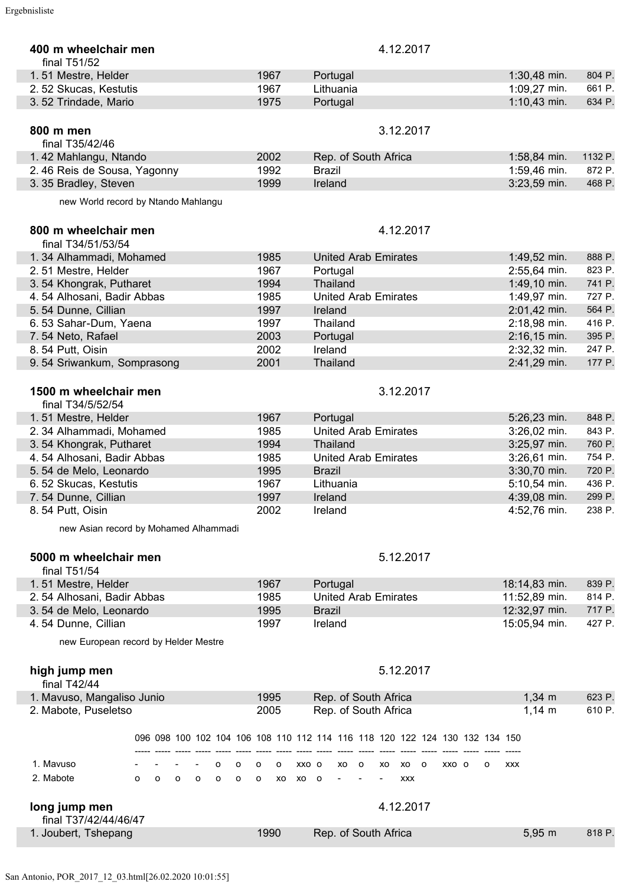| 400 m wheelchair men<br>final $T51/52$                         |                       | 4.12.2017                                                                   |                          |
|----------------------------------------------------------------|-----------------------|-----------------------------------------------------------------------------|--------------------------|
| 1.51 Mestre, Helder                                            | 1967                  | Portugal                                                                    | $1:30,48$ min.<br>804 P. |
| 2.52 Skucas, Kestutis                                          | 1967                  | Lithuania                                                                   | 1:09,27 min.<br>661 P.   |
| 3.52 Trindade, Mario                                           | 1975                  | Portugal                                                                    | $1:10,43$ min.<br>634 P. |
|                                                                |                       |                                                                             |                          |
| 800 m men<br>final T35/42/46                                   |                       | 3.12.2017                                                                   |                          |
| 1.42 Mahlangu, Ntando                                          | 2002                  | Rep. of South Africa                                                        | 1132 P.<br>1:58,84 min.  |
| 2.46 Reis de Sousa, Yagonny                                    | 1992                  | <b>Brazil</b>                                                               | 1:59,46 min.<br>872 P.   |
| 3.35 Bradley, Steven                                           | 1999                  | Ireland                                                                     | 3:23,59 min.<br>468 P.   |
| new World record by Ntando Mahlangu                            |                       |                                                                             |                          |
| 800 m wheelchair men                                           |                       | 4.12.2017                                                                   |                          |
| final T34/51/53/54                                             |                       |                                                                             |                          |
| 1.34 Alhammadi, Mohamed                                        | 1985                  | <b>United Arab Emirates</b>                                                 | 1:49,52 min.<br>888 P.   |
| 2.51 Mestre, Helder                                            | 1967                  | Portugal                                                                    | 2:55,64 min.<br>823 P.   |
| 3.54 Khongrak, Putharet                                        | 1994                  | <b>Thailand</b>                                                             | 1:49,10 min.<br>741 P.   |
| 4.54 Alhosani, Badir Abbas                                     | 1985                  | <b>United Arab Emirates</b>                                                 | 1:49,97 min.<br>727 P.   |
| 5.54 Dunne, Cillian                                            | 1997                  | Ireland                                                                     | 2:01,42 min.<br>564 P.   |
| 6.53 Sahar-Dum, Yaena                                          | 1997                  | Thailand                                                                    | 2:18,98 min.<br>416 P.   |
|                                                                |                       |                                                                             | 395 P.                   |
| 7.54 Neto, Rafael                                              | 2003                  | Portugal                                                                    | $2:16,15$ min.           |
| 8.54 Putt, Oisin                                               | 2002                  | Ireland                                                                     | 2:32,32 min.<br>247 P.   |
| 9.54 Sriwankum, Somprasong                                     | 2001                  | Thailand                                                                    | 2:41,29 min.<br>177 P.   |
| 1500 m wheelchair men<br>final T34/5/52/54                     |                       | 3.12.2017                                                                   |                          |
| 1.51 Mestre, Helder                                            | 1967                  | Portugal                                                                    | 5:26,23 min.<br>848 P.   |
| 2.34 Alhammadi, Mohamed                                        | 1985                  | <b>United Arab Emirates</b>                                                 | 843 P.<br>3:26,02 min.   |
| 3.54 Khongrak, Putharet                                        | 1994                  | <b>Thailand</b>                                                             | 3:25,97 min.<br>760 P.   |
| 4.54 Alhosani, Badir Abbas                                     | 1985                  | <b>United Arab Emirates</b>                                                 | 3:26,61 min.<br>754 P.   |
| 5.54 de Melo, Leonardo                                         | 1995                  | <b>Brazil</b>                                                               | 3:30,70 min.<br>720 P.   |
| 6.52 Skucas, Kestutis                                          | 1967                  | Lithuania                                                                   | 5:10,54 min.<br>436 P.   |
| 7.54 Dunne, Cillian                                            | 1997                  | Ireland                                                                     | 4:39,08 min.<br>299 P.   |
| 8.54 Putt, Oisin                                               | 2002                  | Ireland                                                                     | 4:52,76 min.<br>238 P.   |
|                                                                |                       |                                                                             |                          |
| new Asian record by Mohamed Alhammadi                          |                       |                                                                             |                          |
| 5000 m wheelchair men<br>final T51/54                          |                       | 5.12.2017                                                                   |                          |
| 1.51 Mestre, Helder                                            | 1967                  | Portugal                                                                    | 839 P.<br>18:14,83 min.  |
| 2.54 Alhosani, Badir Abbas                                     | 1985                  | <b>United Arab Emirates</b>                                                 | 11:52,89 min.<br>814 P.  |
| 3.54 de Melo, Leonardo                                         | 1995                  | <b>Brazil</b>                                                               | 12:32,97 min.<br>717 P.  |
| 4.54 Dunne, Cillian                                            | 1997                  | Ireland                                                                     | 15:05,94 min.<br>427 P.  |
| new European record by Helder Mestre                           |                       |                                                                             |                          |
| high jump men<br>final T42/44                                  |                       | 5.12.2017                                                                   |                          |
| 1. Mavuso, Mangaliso Junio                                     | 1995                  | Rep. of South Africa                                                        | $1,34 \, m$<br>623 P.    |
| 2. Mabote, Puseletso                                           | 2005                  | Rep. of South Africa                                                        | $1,14 \; m$<br>610 P.    |
|                                                                |                       |                                                                             |                          |
|                                                                |                       | 096 098 100 102 104 106 108 110 112 114 116 118 120 122 124 130 132 134 150 |                          |
|                                                                |                       |                                                                             |                          |
| 1. Mavuso<br>o<br>o                                            | XXO O<br>o<br>$\circ$ | XO O<br>XO<br>xo<br>$\circ$<br>XXO O<br>o<br><b>XXX</b>                     |                          |
| 2. Mabote<br>$\circ$                                           | XO XO O               |                                                                             |                          |
| $\mathsf{o}\,$<br>$\mathsf{o}$<br>$\mathsf{o}$<br>$\circ$<br>o | $\circ$               | <b>XXX</b>                                                                  |                          |
| long jump men<br>final T37/42/44/46/47                         |                       | 4.12.2017                                                                   |                          |
| 1. Joubert, Tshepang                                           | 1990                  | Rep. of South Africa                                                        | $5,95 \; m$<br>818 P.    |
|                                                                |                       |                                                                             |                          |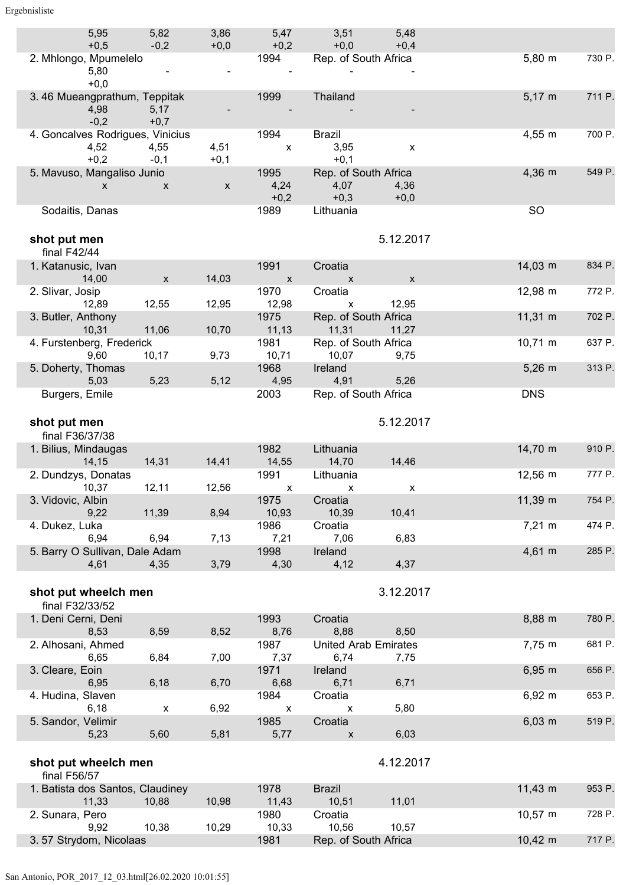| 5,95                             | 5,82           | 3,86         | 5,47           | 3,51                                  | 5,48                      |                     |        |
|----------------------------------|----------------|--------------|----------------|---------------------------------------|---------------------------|---------------------|--------|
| $+0,5$<br>2. Mhlongo, Mpumelelo  | $-0,2$         | $+0,0$       | $+0,2$<br>1994 | $+0.0$ $+0.4$<br>Rep. of South Africa |                           | $5,80 \; m$         | 730 P. |
| 5,80                             |                |              |                |                                       |                           |                     |        |
| $+0,0$                           |                |              |                |                                       |                           |                     |        |
| 3.46 Mueangprathum, Teppitak     |                |              | 1999           | Thailand                              |                           | $5,17 \; m$         | 711 P. |
| 4,98<br>$-0,2$                   | 5,17<br>$+0,7$ |              |                |                                       |                           |                     |        |
| 4. Goncalves Rodrigues, Vinicius |                |              | 1994           | Brazil                                |                           | $4,55 \; m$         | 700 P. |
| 4,52                             | 4,55           | 4,51         | $\mathsf{X}$   | 3,95                                  | $\boldsymbol{\mathsf{x}}$ |                     |        |
| $+0,2$                           | $-0,1$         | $+0,1$       |                | $+0,1$                                |                           |                     |        |
| 5. Mavuso, Mangaliso Junio       |                |              | 1995           | Rep. of South Africa                  |                           | $4,36 \, m$         | 549 P. |
| $\mathsf{X}$                     | $\mathsf{X}$   | $\mathsf{x}$ | 4,24<br>$+0,2$ | 4,07<br>$+0,3$                        | 4,36<br>$+0,0$            |                     |        |
| Sodaitis, Danas                  |                |              | 1989           | Lithuania                             |                           | <b>SO</b>           |        |
|                                  |                |              |                |                                       |                           |                     |        |
| shot put men                     |                |              |                |                                       | 5.12.2017                 |                     |        |
| final $F42/44$                   |                |              |                |                                       |                           |                     |        |
| 1. Katanusic, Ivan               |                |              | 1991           | Croatia                               |                           | $14,03 \; m$        | 834 P. |
| 14,00                            | $\mathsf{x}$   | 14,03        | $\mathsf{X}$   | $\mathsf{X}$ and $\mathsf{X}$         |                           |                     |        |
| 2. Slivar, Josip                 |                |              | 1970           | Croatia                               |                           | 12,98 m             | 772 P. |
| 12,89<br>3. Butler, Anthony      | 12,55          | 12,95        | 12,98<br>1975  | $\mathsf{X}$<br>Rep. of South Africa  | 12,95                     | $11,31 \; m$        | 702 P. |
| 10,31                            | 11,06          | 10,70        | 11,13          | 11,31 11,27                           |                           |                     |        |
| 4. Furstenberg, Frederick        |                |              | 1981           | Rep. of South Africa                  |                           | $10,71 \; m$        | 637 P. |
| 9,60                             | 10,17          | 9,73         | 10,71          | 10,07 9,75                            |                           |                     |        |
| 5. Doherty, Thomas               |                |              | 1968           | Ireland                               |                           | $5,26 \; m$         | 313 P. |
| 5,03                             | 5,23           | 5,12         | 4,95           | 4,91                                  | 5,26                      |                     |        |
| Burgers, Emile                   |                |              | 2003           | Rep. of South Africa                  |                           | <b>DNS</b>          |        |
|                                  |                |              |                |                                       | 5.12.2017                 |                     |        |
| shot put men<br>final F36/37/38  |                |              |                |                                       |                           |                     |        |
| 1. Bilius, Mindaugas             |                |              | 1982           | Lithuania                             |                           | 14,70 m             | 910 P. |
| 14,15                            | 14,31          | 14,41        | 14,55          | 14,70                                 | 14,46                     |                     |        |
| 2. Dundzys, Donatas              |                |              | 1991 — 1991    | Lithuania                             |                           | $12,56 \, \text{m}$ | 777 P. |
| 10,37                            | 12,11          | 12,56        | $\mathsf{X}$   | X                                     | $\mathsf{x}$              |                     |        |
| 3. Vidovic, Albin                | 11,39          | 8,94         | 1975<br>10,93  | Croatia<br>10,39                      | 10,41                     | 11,39 m             | 754 P. |
| 9,22<br>4. Dukez, Luka           |                |              |                |                                       |                           |                     |        |
|                                  |                |              |                |                                       |                           |                     |        |
| 6,94                             |                |              | 1986           | Croatia                               |                           | $7,21 \; m$         | 474 P. |
| 5. Barry O Sullivan, Dale Adam   | 6,94           | 7,13         | 7,21<br>1998   | 7,06<br>Ireland                       | 6,83                      | $4,61 \; m$         | 285 P. |
| 4,61                             | 4,35           | 3,79         | 4,30           | 4,12                                  | 4,37                      |                     |        |
|                                  |                |              |                |                                       |                           |                     |        |
| shot put wheelch men             |                |              |                |                                       | 3.12.2017                 |                     |        |
| final F32/33/52                  |                |              |                |                                       |                           |                     |        |
| 1. Deni Cerni, Deni              |                |              | 1993           | Croatia                               |                           | 8,88 m              | 780 P. |
| 8,53                             | 8,59           | 8,52         | 8,76           | 8,88                                  | 8,50                      |                     |        |
| 2. Alhosani, Ahmed<br>6,65       | 6,84           | 7,00         | 1987<br>7,37   | <b>United Arab Emirates</b><br>6,74   | 7,75                      | 7,75 m              | 681 P. |
| 3. Cleare, Eoin                  |                |              | 1971           | Ireland                               |                           | $6,95 \; m$         | 656 P. |
| 6,95                             | 6,18           | 6,70         | 6,68           | 6,71                                  | 6,71                      |                     |        |
| 4. Hudina, Slaven                |                |              | 1984           | Croatia                               |                           | $6,92 \, m$         | 653 P. |
| 6,18                             | $\pmb{\chi}$   | 6,92         | X              | X                                     | 5,80                      |                     |        |
| 5. Sandor, Velimir<br>5,23       | 5,60           | 5,81         | 1985<br>5,77   | Croatia<br>X                          | 6,03                      | $6,03 \, m$         | 519 P. |
|                                  |                |              |                |                                       |                           |                     |        |
| shot put wheelch men             |                |              |                |                                       | 4.12.2017                 |                     |        |
| final F56/57                     |                |              |                |                                       |                           |                     |        |
| 1. Batista dos Santos, Claudiney |                |              | 1978           | <b>Brazil</b>                         |                           | $11,43 \; m$        | 953 P. |
| 11,33                            | 10,88          | 10,98        | 11,43          | 10,51                                 | 11,01                     |                     |        |
| 2. Sunara, Pero                  |                |              | 1980           | Croatia                               |                           | $10,57 \; m$        | 728 P. |
| 9,92<br>3.57 Strydom, Nicolaas   | 10,38          | 10,29        | 10,33<br>1981  | 10,56<br>Rep. of South Africa         | 10,57                     | $10,42 \; m$        | 717 P. |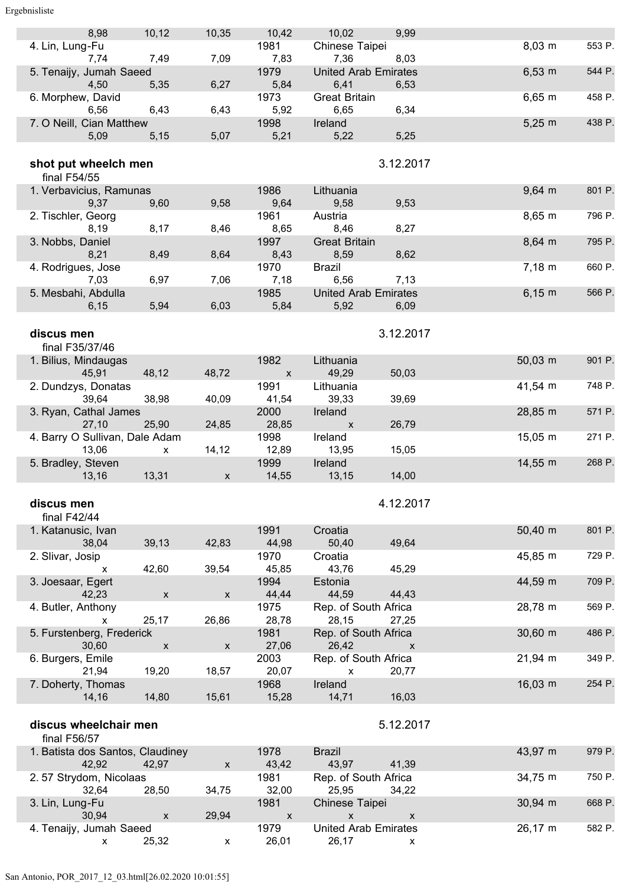#### Ergebnisliste

| 8,98                             | 10, 12                    | 10,35              | 10,42        | 10,02                       | 9,99               |                     |        |
|----------------------------------|---------------------------|--------------------|--------------|-----------------------------|--------------------|---------------------|--------|
| 4. Lin, Lung-Fu                  |                           |                    | 1981         | Chinese Taipei              |                    | $8,03 \, \text{m}$  | 553 P. |
| 7,74                             | 7,49                      | 7,09               | 7,83         | 7,36                        | 8,03               |                     |        |
| 5. Tenaijy, Jumah Saeed          |                           |                    | 1979         | <b>United Arab Emirates</b> |                    | $6,53 \; m$         | 544 P. |
|                                  |                           |                    |              |                             |                    |                     |        |
| 4,50                             | 5,35                      | 6,27               | 5,84         | 6,41                        | 6,53               |                     |        |
| 6. Morphew, David                |                           |                    | 1973         | <b>Great Britain</b>        |                    | $6,65 \; m$         | 458 P. |
| 6,56                             | 6,43                      | 6,43               | 5,92         | 6,65                        | 6,34               |                     |        |
|                                  |                           |                    |              |                             |                    |                     |        |
| 7. O Neill, Cian Matthew         |                           |                    | 1998         | Ireland                     |                    | $5,25 \; m$         | 438 P. |
| 5,09                             | 5,15                      | 5,07               | 5,21         | 5,22                        | 5,25               |                     |        |
|                                  |                           |                    |              |                             |                    |                     |        |
|                                  |                           |                    |              |                             |                    |                     |        |
| shot put wheelch men             |                           |                    |              |                             | 3.12.2017          |                     |        |
| final F54/55                     |                           |                    |              |                             |                    |                     |        |
|                                  |                           |                    |              |                             |                    |                     |        |
| 1. Verbavicius, Ramunas          |                           |                    | 1986         | Lithuania                   |                    | $9,64 \, m$         | 801 P. |
| 9,37                             | 9,60                      | 9,58               | 9,64         | 9,58                        | 9,53               |                     |        |
| 2. Tischler, Georg               |                           |                    | 1961         | Austria                     |                    | $8,65 \; m$         | 796 P. |
|                                  |                           |                    |              |                             |                    |                     |        |
| 8,19                             | 8,17                      | 8,46               | 8,65         | 8,46                        | 8,27               |                     |        |
| 3. Nobbs, Daniel                 |                           |                    | 1997         | <b>Great Britain</b>        |                    | $8,64 \, m$         | 795 P. |
| 8,21                             | 8,49                      | 8,64               | 8,43         | 8,59                        | 8,62               |                     |        |
|                                  |                           |                    |              |                             |                    |                     |        |
| 4. Rodrigues, Jose               |                           |                    | 1970         | <b>Brazil</b>               |                    | 7.18 m              | 660 P. |
| 7,03                             | 6,97                      | 7,06               | 7,18         | 6,56                        | 7,13               |                     |        |
| 5. Mesbahi, Abdulla              |                           |                    | 1985         | <b>United Arab Emirates</b> |                    | $6,15 \; m$         | 566 P. |
|                                  |                           |                    |              |                             |                    |                     |        |
| 6,15                             | 5,94                      | 6,03               | 5,84         | 5,92                        | 6,09               |                     |        |
|                                  |                           |                    |              |                             |                    |                     |        |
|                                  |                           |                    |              |                             |                    |                     |        |
| discus men                       |                           |                    |              |                             | 3.12.2017          |                     |        |
| final F35/37/46                  |                           |                    |              |                             |                    |                     |        |
| 1. Bilius, Mindaugas             |                           |                    | 1982         | Lithuania                   |                    | $50,03 \, \text{m}$ | 901 P. |
|                                  |                           |                    |              |                             |                    |                     |        |
| 45,91                            | 48,12                     | 48,72              | $\mathsf{x}$ | 49,29                       | 50,03              |                     |        |
| 2. Dundzys, Donatas              |                           |                    | 1991         | Lithuania                   |                    | 41,54 m             | 748 P. |
| 39,64                            | 38,98                     | 40,09              | 41,54        | 39,33                       | 39,69              |                     |        |
|                                  |                           |                    |              |                             |                    |                     |        |
| 3. Ryan, Cathal James            |                           |                    | 2000         | Ireland                     |                    | 28,85 m             | 571 P. |
| 27,10                            | 25,90                     | 24,85              | 28,85        | $\mathsf{x}$                | 26,79              |                     |        |
| 4. Barry O Sullivan, Dale Adam   |                           |                    | 1998         | Ireland                     |                    | $15,05 \; m$        | 271 P. |
|                                  |                           |                    |              |                             |                    |                     |        |
| 13,06                            | <b>X</b>                  | 14,12              | 12,89        | 13,95                       | 15,05              |                     |        |
| 5. Bradley, Steven               |                           |                    | 1999         | Ireland                     |                    | 14,55 m             | 268 P. |
| 13,16                            | 13,31                     | $\mathsf{x}$       | 14,55        | 13,15                       | 14,00              |                     |        |
|                                  |                           |                    |              |                             |                    |                     |        |
|                                  |                           |                    |              |                             |                    |                     |        |
| discus men                       |                           |                    |              |                             | 4.12.2017          |                     |        |
|                                  |                           |                    |              |                             |                    |                     |        |
| final $F42/44$                   |                           |                    |              |                             |                    |                     |        |
| 1. Katanusic, Ivan               |                           |                    | 1991         | Croatia                     |                    | $50,40 \; m$        | 801 P. |
| 38,04                            | 39,13                     | 42,83              | 44,98        | 50,40                       | 49,64              |                     |        |
|                                  |                           |                    |              |                             |                    |                     |        |
| 2. Slivar, Josip                 |                           |                    | 1970         | Croatia                     |                    | 45,85 m             | 729 P. |
| X                                | 42,60                     | 39,54              | 45,85        | 43,76                       | 45,29              |                     |        |
| 3. Joesaar, Egert                |                           |                    | 1994         | Estonia                     |                    | 44,59 m             | 709 P. |
|                                  |                           |                    |              |                             |                    |                     |        |
| 42,23                            | $\mathsf{X}$              | X                  | 44,44        | 44,59                       | 44,43              |                     |        |
| 4. Butler, Anthony               |                           |                    | 1975         | Rep. of South Africa        |                    | 28,78 m             | 569 P. |
| X                                | 25,17                     | 26,86              | 28,78        | 28,15                       | 27,25              |                     |        |
|                                  |                           |                    |              |                             |                    |                     |        |
| 5. Furstenberg, Frederick        |                           |                    | 1981         | Rep. of South Africa        |                    | $30,60$ m           | 486 P. |
| 30,60                            | X                         | $\pmb{\mathsf{X}}$ | 27,06        | 26,42                       | $\mathsf{x}$       |                     |        |
| 6. Burgers, Emile                |                           |                    | 2003         | Rep. of South Africa        |                    | 21,94 m             | 349 P. |
|                                  |                           |                    |              |                             |                    |                     |        |
| 21,94                            | 19,20                     | 18,57              | 20,07        | $\mathsf{x}$                | 20,77              |                     |        |
| 7. Doherty, Thomas               |                           |                    | 1968         | Ireland                     |                    | 16,03 m             | 254 P. |
| 14,16                            | 14,80                     | 15,61              | 15,28        | 14,71                       | 16,03              |                     |        |
|                                  |                           |                    |              |                             |                    |                     |        |
|                                  |                           |                    |              |                             |                    |                     |        |
| discus wheelchair men            |                           |                    |              |                             | 5.12.2017          |                     |        |
|                                  |                           |                    |              |                             |                    |                     |        |
| final F56/57                     |                           |                    |              |                             |                    |                     |        |
| 1. Batista dos Santos, Claudiney |                           |                    | 1978         | <b>Brazil</b>               |                    | 43,97 m             | 979 P. |
| 42,92                            | 42,97                     | X                  | 43,42        | 43,97                       | 41,39              |                     |        |
|                                  |                           |                    |              |                             |                    |                     |        |
| 2.57 Strydom, Nicolaas           |                           |                    | 1981         | Rep. of South Africa        |                    | 34,75 m             | 750 P. |
| 32,64                            | 28,50                     | 34,75              | 32,00        | 25,95                       | 34,22              |                     |        |
| 3. Lin, Lung-Fu                  |                           |                    | 1981         | Chinese Taipei              |                    | 30,94 m             | 668 P. |
| 30,94                            |                           |                    |              |                             |                    |                     |        |
|                                  | $\boldsymbol{\mathsf{x}}$ | 29,94              | $\mathsf X$  | $\mathsf{x}$                | $\pmb{\mathsf{X}}$ |                     |        |
| 4. Tenaijy, Jumah Saeed          |                           |                    | 1979         | <b>United Arab Emirates</b> |                    | 26,17 m             | 582 P. |

x 25,32 x 26,01 26,17 x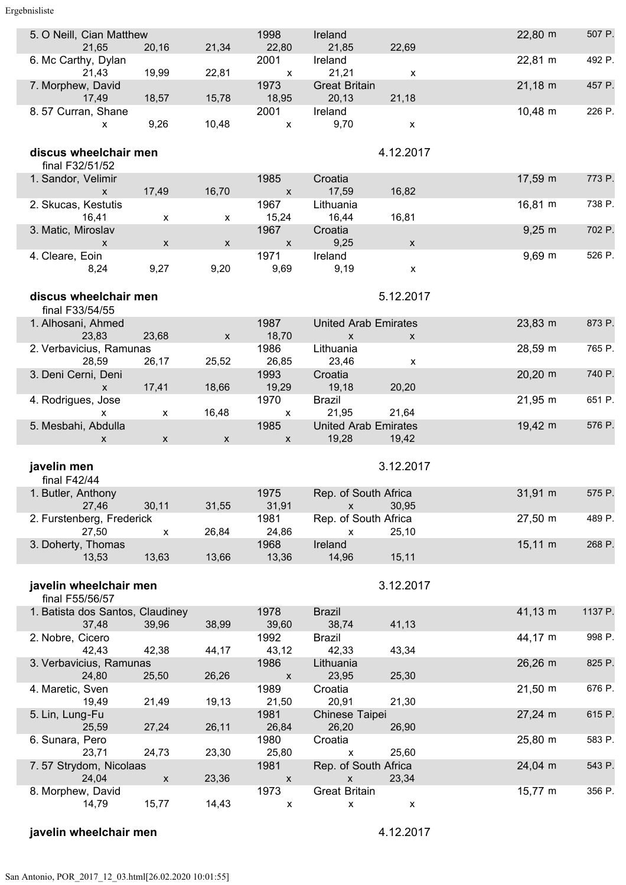Ergebnisliste

| 5. O Neill, Cian Matthew<br>21,65         | 20,16                     | 21,34              | 1998<br>22,80                     | Ireland<br>21,85                           | 22,69              | 22,80 m             | 507 P.  |
|-------------------------------------------|---------------------------|--------------------|-----------------------------------|--------------------------------------------|--------------------|---------------------|---------|
| 6. Mc Carthy, Dylan                       |                           |                    | 2001                              | Ireland                                    |                    | 22,81 m             | 492 P.  |
| 21,43                                     | 19,99                     | 22,81              | $\mathsf{x}$                      | 21,21                                      | X                  |                     |         |
| 7. Morphew, David<br>17,49                | 18,57                     | 15,78              | 1973<br>18,95                     | <b>Great Britain</b><br>20,13              | 21,18              | $21,18 \, m$        | 457 P.  |
| 8.57 Curran, Shane                        |                           |                    | 2001                              | Ireland                                    |                    | 10,48 m             | 226 P.  |
| X                                         | 9,26                      | 10,48              | $\pmb{\mathsf{X}}$                | 9,70                                       | $\pmb{\mathsf{X}}$ |                     |         |
| discus wheelchair men                     |                           |                    |                                   |                                            | 4.12.2017          |                     |         |
| final F32/51/52                           |                           |                    |                                   |                                            |                    |                     |         |
| 1. Sandor, Velimir                        |                           |                    | 1985                              | Croatia                                    |                    | 17,59 m             | 773 P.  |
| $\mathsf{x}$                              | 17,49                     | 16,70              | $\mathsf{x}$                      | 17,59                                      | 16,82              |                     |         |
| 2. Skucas, Kestutis                       |                           |                    | 1967                              | Lithuania                                  |                    | 16,81 m             | 738 P.  |
| 16,41<br>3. Matic, Miroslav               | $\boldsymbol{\mathsf{x}}$ | x                  | 15,24<br>1967                     | 16,44<br>Croatia                           | 16,81              | $9,25 \; m$         | 702 P.  |
| $\mathsf{x}$                              | $\boldsymbol{\mathsf{X}}$ | $\mathsf{x}$       | $\boldsymbol{\mathsf{X}}$         | 9,25                                       | $\mathsf X$        |                     |         |
| 4. Cleare, Eoin                           |                           |                    | 1971                              | Ireland                                    |                    | $9,69$ m            | 526 P.  |
| 8,24                                      | 9,27                      | 9,20               | 9,69                              | 9,19                                       | $\pmb{\mathsf{x}}$ |                     |         |
|                                           |                           |                    |                                   |                                            |                    |                     |         |
| discus wheelchair men                     |                           |                    |                                   |                                            | 5.12.2017          |                     |         |
| final F33/54/55                           |                           |                    |                                   |                                            |                    |                     |         |
| 1. Alhosani, Ahmed<br>23,83               | 23,68                     |                    | 1987<br>18,70                     | <b>United Arab Emirates</b>                |                    | 23,83 m             | 873 P.  |
| 2. Verbavicius, Ramunas                   |                           | $\pmb{\mathsf{X}}$ | 1986                              | $\mathsf{x}$<br>Lithuania                  | $\mathsf{x}$       | 28,59 m             | 765 P.  |
| 28,59                                     | 26,17                     | 25,52              | 26,85                             | 23,46                                      | X                  |                     |         |
| 3. Deni Cerni, Deni                       |                           |                    | 1993                              | Croatia                                    |                    | $20,20 \, \text{m}$ | 740 P.  |
| $\mathsf{x}$                              | 17,41                     | 18,66              | 19,29                             | 19,18                                      | 20,20              |                     |         |
| 4. Rodrigues, Jose                        |                           |                    | 1970                              | <b>Brazil</b>                              |                    | $21,95 \; m$        | 651 P.  |
| $\mathsf{x}$<br>5. Mesbahi, Abdulla       | X                         | 16,48              | $\mathsf{x}$<br>1985              | 21,95<br><b>United Arab Emirates</b>       | 21,64              | 19,42 m             | 576 P.  |
| X                                         | $\mathsf{x}$              | $\mathsf{X}$       | $\boldsymbol{\mathsf{X}}$         | 19,28                                      | 19,42              |                     |         |
|                                           |                           |                    |                                   |                                            |                    |                     |         |
| javelin men                               |                           |                    |                                   |                                            | 3.12.2017          |                     |         |
| final F42/44                              |                           |                    |                                   |                                            |                    |                     |         |
| 1. Butler, Anthony                        |                           |                    | 1975                              | Rep. of South Africa                       |                    | 31,91 m             | 575 P.  |
| 27,46<br>2. Furstenberg, Frederick        | 30,11                     | 31,55              | 31,91<br>1981                     | $\pmb{\mathsf{X}}$<br>Rep. of South Africa | 30,95              | 27,50 m             | 489 P.  |
| 27,50                                     | x                         | 26,84              | 24,86                             | X                                          | 25,10              |                     |         |
| 3. Doherty, Thomas                        |                           |                    | 1968                              | Ireland                                    |                    | $15,11 \text{ m}$   | 268 P.  |
| 13,53                                     | 13,63                     | 13,66              | 13,36                             | 14,96                                      | 15,11              |                     |         |
|                                           |                           |                    |                                   |                                            |                    |                     |         |
| javelin wheelchair men                    |                           |                    |                                   |                                            | 3.12.2017          |                     |         |
| final F55/56/57                           |                           |                    |                                   |                                            |                    | $41,13 \; m$        |         |
| 1. Batista dos Santos, Claudiney<br>37,48 | 39,96                     | 38,99              | 1978<br>39,60                     | <b>Brazil</b><br>38,74                     | 41,13              |                     | 1137 P. |
| 2. Nobre, Cicero                          |                           |                    | 1992                              | <b>Brazil</b>                              |                    | 44,17 m             | 998 P.  |
| 42,43                                     | 42,38                     | 44,17              | 43,12                             | 42,33                                      | 43,34              |                     |         |
| 3. Verbavicius, Ramunas                   |                           |                    | 1986                              | Lithuania                                  |                    | 26,26 m             | 825 P.  |
| 24,80                                     | 25,50                     | 26,26              | $\pmb{\mathsf{x}}$                | 23,95                                      | 25,30              |                     |         |
| 4. Maretic, Sven<br>19,49                 | 21,49                     | 19,13              | 1989<br>21,50                     | Croatia<br>20,91                           | 21,30              | $21,50 \, \text{m}$ | 676 P.  |
| 5. Lin, Lung-Fu                           |                           |                    | 1981                              | Chinese Taipei                             |                    | $27,24 \, m$        | 615 P.  |
| 25,59                                     | 27,24                     | 26,11              | 26,84                             | 26,20                                      | 26,90              |                     |         |
| 6. Sunara, Pero                           |                           |                    | 1980                              | Croatia                                    |                    | 25,80 m             | 583 P.  |
| 23,71                                     | 24,73                     | 23,30              | 25,80                             | X                                          | 25,60              |                     |         |
| 7.57 Strydom, Nicolaas<br>24,04           | $\boldsymbol{\mathsf{X}}$ | 23,36              | 1981<br>$\mathsf{x}$              | Rep. of South Africa<br>$\pmb{\mathsf{x}}$ | 23,34              | 24,04 m             | 543 P.  |
| 8. Morphew, David                         |                           |                    |                                   |                                            |                    |                     |         |
|                                           |                           |                    |                                   |                                            |                    |                     | 356 P.  |
| 14,79                                     | 15,77                     | 14,43              | 1973<br>$\boldsymbol{\mathsf{x}}$ | <b>Great Britain</b><br>X                  | X                  | 15,77 m             |         |

# **javelin wheelchair men** 4.12.2017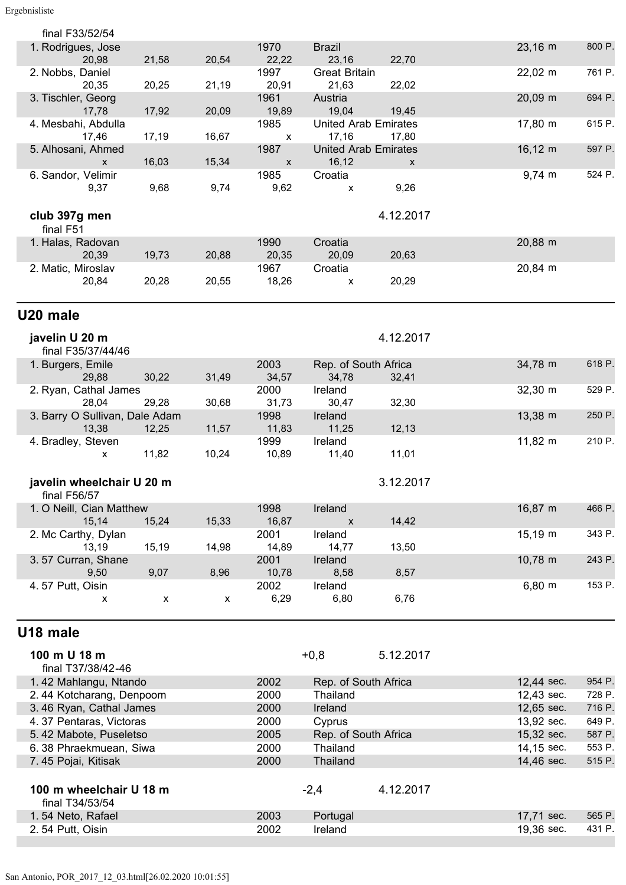| final F33/52/54                |       |                    |               |                             |           |                     | 800 P. |
|--------------------------------|-------|--------------------|---------------|-----------------------------|-----------|---------------------|--------|
| 1. Rodrigues, Jose<br>20,98    | 21,58 | 20,54              | 1970<br>22,22 | <b>Brazil</b><br>23,16      | 22,70     | $23,16 \, \text{m}$ |        |
| 2. Nobbs, Daniel               |       |                    | 1997          | <b>Great Britain</b>        |           | $22,02 \, \text{m}$ | 761 P. |
| 20,35                          | 20,25 | 21,19              | 20,91         | 21,63                       | 22,02     |                     |        |
| 3. Tischler, Georg             |       |                    | 1961          | Austria                     |           | 20,09 m             | 694 P. |
| 17,78                          | 17,92 | 20,09              | 19,89         | 19,04                       | 19,45     |                     |        |
| 4. Mesbahi, Abdulla            |       |                    | 1985          | <b>United Arab Emirates</b> |           | 17,80 m             | 615 P. |
| 17,46                          | 17,19 | 16,67              | X             | 17,16                       | 17,80     |                     |        |
| 5. Alhosani, Ahmed             |       |                    | 1987          | <b>United Arab Emirates</b> |           | $16, 12 \; m$       | 597 P. |
| X                              | 16,03 | 15,34              | X             | 16,12                       | X         |                     |        |
| 6. Sandor, Velimir             |       |                    | 1985          | Croatia                     |           | $9,74 \, m$         | 524 P. |
| 9,37                           | 9,68  | 9,74               | 9,62          | X                           | 9,26      |                     |        |
|                                |       |                    |               |                             |           |                     |        |
| club 397g men                  |       |                    |               |                             | 4.12.2017 |                     |        |
| final F51                      |       |                    |               |                             |           |                     |        |
| 1. Halas, Radovan              |       |                    | 1990          | Croatia                     |           | 20,88 m             |        |
| 20,39                          | 19,73 | 20,88              | 20,35         | 20,09                       | 20,63     |                     |        |
| 2. Matic, Miroslav             |       |                    | 1967          | Croatia                     |           | 20,84 m             |        |
| 20,84                          | 20,28 | 20,55              | 18,26         | X                           | 20,29     |                     |        |
|                                |       |                    |               |                             |           |                     |        |
| U20 male                       |       |                    |               |                             |           |                     |        |
|                                |       |                    |               |                             |           |                     |        |
| javelin U 20 m                 |       |                    |               |                             | 4.12.2017 |                     |        |
| final F35/37/44/46             |       |                    |               |                             |           |                     |        |
| 1. Burgers, Emile              |       |                    | 2003          | Rep. of South Africa        |           | 34,78 m             | 618 P. |
| 29,88                          | 30,22 | 31,49              | 34,57         | 34,78                       | 32,41     |                     |        |
| 2. Ryan, Cathal James          |       |                    | 2000          | Ireland                     |           | $32,30 \, \text{m}$ | 529 P. |
| 28,04                          | 29,28 | 30,68              | 31,73         | 30,47                       | 32,30     |                     |        |
| 3. Barry O Sullivan, Dale Adam |       |                    | 1998          | Ireland                     |           | 13,38 m             | 250 P. |
| 13,38                          | 12,25 | 11,57              | 11,83         | 11,25                       | 12, 13    |                     |        |
| 4. Bradley, Steven             |       |                    | 1999          | Ireland                     |           | $11,82 \; m$        | 210 P. |
| x                              | 11,82 | 10,24              | 10,89         | 11,40                       | 11,01     |                     |        |
|                                |       |                    |               |                             |           |                     |        |
| javelin wheelchair U 20 m      |       |                    |               |                             | 3.12.2017 |                     |        |
| final $F56/57$                 |       |                    |               |                             |           |                     |        |
| 1. O Neill, Cian Matthew       |       |                    | 1998          | Ireland                     |           | 16,87 m             | 466 P. |
| 15,14                          | 15,24 | 15,33              | 16,87         | $\pmb{\chi}$                | 14,42     |                     | 343 P. |
| 2. Mc Carthy, Dylan<br>13,19   | 15,19 | 14,98              | 2001<br>14,89 | Ireland<br>14,77            | 13,50     | 15,19 m             |        |
| 3.57 Curran, Shane             |       |                    | 2001          | Ireland                     |           | 10,78 m             | 243 P. |
| 9,50                           | 9,07  | 8,96               | 10,78         | 8,58                        | 8,57      |                     |        |
| 4.57 Putt, Oisin               |       |                    | 2002          | Ireland                     |           | $6,80 \; m$         | 153 P. |
| x                              | X     | $\pmb{\mathsf{x}}$ | 6,29          | 6,80                        | 6,76      |                     |        |
|                                |       |                    |               |                             |           |                     |        |
|                                |       |                    |               |                             |           |                     |        |
| U18 male                       |       |                    |               |                             |           |                     |        |
| 100 m U 18 m                   |       |                    |               | $+0,8$                      | 5.12.2017 |                     |        |
| final T37/38/42-46             |       |                    |               |                             |           |                     |        |
| 1.42 Mahlangu, Ntando          |       |                    | 2002          | Rep. of South Africa        |           | 12,44 sec.          | 954 P. |
| 2.44 Kotcharang, Denpoom       |       |                    | 2000          | <b>Thailand</b>             |           | 12,43 sec.          | 728 P. |
| 3.46 Ryan, Cathal James        |       |                    | 2000          | Ireland                     |           | 12,65 sec.          | 716 P. |
| 4.37 Pentaras, Victoras        |       |                    | 2000          | Cyprus                      |           | 13,92 sec.          | 649 P. |
| 5.42 Mabote, Puseletso         |       |                    | 2005          | Rep. of South Africa        |           | 15,32 sec.          | 587 P. |
| 6.38 Phraekmuean, Siwa         |       |                    | 2000          | Thailand                    |           | 14,15 sec.          | 553 P. |
| 7.45 Pojai, Kitisak            |       |                    | 2000          | <b>Thailand</b>             |           | 14,46 sec.          | 515 P. |

| 100 m wheelchair U 18 m<br>final T34/53/54 |      | $-2.4$   | 4.12.2017 |            |        |
|--------------------------------------------|------|----------|-----------|------------|--------|
| 1.54 Neto, Rafael                          | 2003 | Portugal |           | 17.71 sec. | 565 P. |
| 2.54 Putt, Oisin                           | 2002 | Ireland  |           | 19.36 sec. | 431 P. |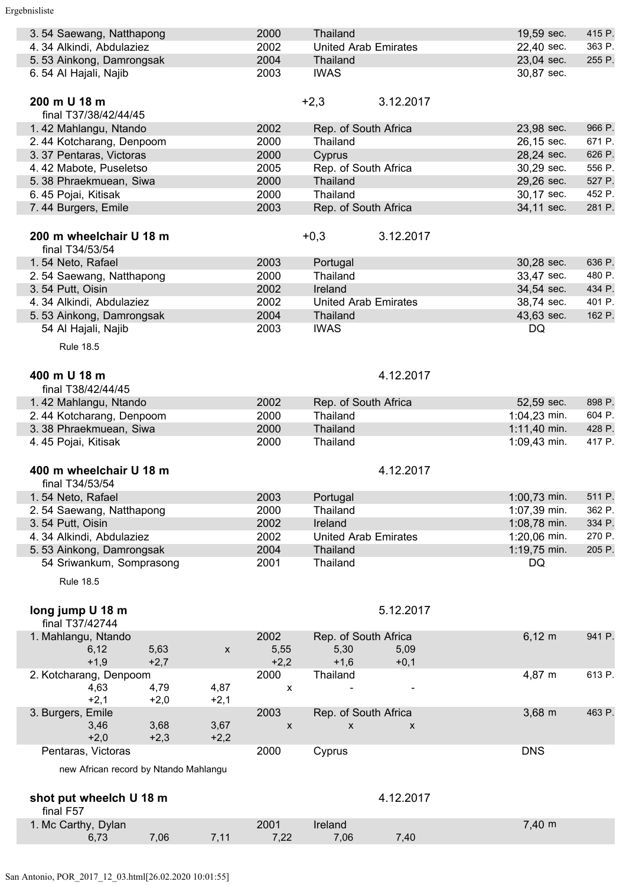| 3.54 Saewang, Natthapong<br>4.34 Alkindi, Abdulaziez |        |                    | 2000<br>2002 | Thailand                  | <b>United Arab Emirates</b> | 19,59 sec.<br>22,40 sec. | 415 P.<br>363 P. |
|------------------------------------------------------|--------|--------------------|--------------|---------------------------|-----------------------------|--------------------------|------------------|
| 5.53 Ainkong, Damrongsak                             |        |                    | 2004         | Thailand                  |                             | 23,04 sec.               | 255 P.           |
| 6.54 Al Hajali, Najib                                |        |                    | 2003         | <b>IWAS</b>               |                             | 30,87 sec.               |                  |
|                                                      |        |                    |              |                           |                             |                          |                  |
| 200 m U 18 m<br>final T37/38/42/44/45                |        |                    |              | $+2,3$                    | 3.12.2017                   |                          |                  |
| 1.42 Mahlangu, Ntando                                |        |                    | 2002         | Rep. of South Africa      |                             | 23,98 sec.               | 966 P.           |
| 2.44 Kotcharang, Denpoom                             |        |                    | 2000         | Thailand                  |                             | 26,15 sec.               | 671 P.           |
| 3.37 Pentaras, Victoras                              |        |                    | 2000         | Cyprus                    |                             | 28,24 sec.               | 626 P.           |
| 4.42 Mabote, Puseletso                               |        |                    | 2005         | Rep. of South Africa      |                             | 30,29 sec.               | 556 P.           |
|                                                      |        |                    |              |                           |                             |                          |                  |
| 5.38 Phraekmuean, Siwa                               |        |                    | 2000         | Thailand                  |                             | 29,26 sec.               | 527 P.           |
| 6.45 Pojai, Kitisak                                  |        |                    | 2000         | Thailand                  |                             | 30,17 sec.               | 452 P.           |
| 7.44 Burgers, Emile                                  |        |                    | 2003         | Rep. of South Africa      |                             | 34,11 sec.               | 281 P.           |
| 200 m wheelchair U 18 m<br>final T34/53/54           |        |                    |              | $+0,3$                    | 3.12.2017                   |                          |                  |
| 1.54 Neto, Rafael                                    |        |                    | 2003         | Portugal                  |                             | 30,28 sec.               | 636 P.           |
| 2.54 Saewang, Natthapong                             |        |                    | 2000         | Thailand                  |                             | 33,47 sec.               | 480 P.           |
| 3.54 Putt, Oisin                                     |        |                    | 2002         | Ireland                   |                             | 34,54 sec.               | 434 P.           |
| 4.34 Alkindi, Abdulaziez                             |        |                    | 2002         |                           | <b>United Arab Emirates</b> | 38,74 sec.               | 401 P.           |
| 5.53 Ainkong, Damrongsak                             |        |                    | 2004         | Thailand                  |                             | 43,63 sec.               | 162 P.           |
| 54 Al Hajali, Najib                                  |        |                    | 2003         | <b>IWAS</b>               |                             | DQ                       |                  |
|                                                      |        |                    |              |                           |                             |                          |                  |
| <b>Rule 18.5</b>                                     |        |                    |              |                           |                             |                          |                  |
| 400 m U 18 m<br>final T38/42/44/45                   |        |                    |              |                           | 4.12.2017                   |                          |                  |
| 1.42 Mahlangu, Ntando                                |        |                    | 2002         | Rep. of South Africa      |                             | 52,59 sec.               | 898 P.           |
| 2.44 Kotcharang, Denpoom                             |        |                    | 2000         | Thailand                  |                             | $1:04,23$ min.           | 604 P.           |
| 3.38 Phraekmuean, Siwa                               |        |                    | 2000         | Thailand                  |                             | $1:11,40$ min.           | 428 P.           |
| 4.45 Pojai, Kitisak                                  |        |                    | 2000         | Thailand                  |                             | 1:09,43 min.             | 417 P.           |
|                                                      |        |                    |              |                           |                             |                          |                  |
| 400 m wheelchair U 18 m                              |        |                    |              |                           | 4.12.2017                   |                          |                  |
| final T34/53/54                                      |        |                    |              |                           |                             |                          |                  |
| 1.54 Neto, Rafael                                    |        |                    | 2003         | Portugal                  |                             | 1:00,73 min.             | 511 P.           |
| 2.54 Saewang, Natthapong                             |        |                    | 2000         | Thailand                  |                             | 1:07,39 min.             | 362 P.           |
| 3.54 Putt, Oisin                                     |        |                    | 2002         | Ireland                   |                             | 1:08,78 min.             | 334 P.           |
| 4.34 Alkindi, Abdulaziez                             |        |                    | 2002         |                           | <b>United Arab Emirates</b> | 1:20,06 min.             | 270 P.           |
| 5.53 Ainkong, Damrongsak                             |        |                    | 2004         | Thailand                  |                             | 1:19,75 min.             | 205 P.           |
| 54 Sriwankum, Somprasong                             |        |                    | 2001         | Thailand                  |                             | DQ                       |                  |
| <b>Rule 18.5</b>                                     |        |                    |              |                           |                             |                          |                  |
|                                                      |        |                    |              |                           |                             |                          |                  |
| long jump U 18 m                                     |        |                    |              |                           | 5.12.2017                   |                          |                  |
| final T37/42744                                      |        |                    |              |                           |                             |                          |                  |
| 1. Mahlangu, Ntando                                  |        |                    | 2002         | Rep. of South Africa      |                             | $6,12 \; m$              | 941 P.           |
| 6,12                                                 | 5,63   | $\pmb{\mathsf{X}}$ | 5,55         | 5,30                      | 5,09                        |                          |                  |
| $+1,9$                                               | $+2,7$ |                    | $+2,2$       | $+1,6$                    | $+0,1$                      |                          |                  |
| 2. Kotcharang, Denpoom                               |        |                    | 2000         | Thailand                  |                             | 4,87 m                   | 613 P.           |
| 4,63                                                 | 4,79   | 4,87               | x            |                           |                             |                          |                  |
| $+2,1$                                               | $+2,0$ | $+2,1$             |              |                           |                             |                          |                  |
| 3. Burgers, Emile                                    |        |                    | 2003         | Rep. of South Africa      |                             | $3,68 \, \text{m}$       | 463 P.           |
| 3,46                                                 | 3,68   | 3,67               | X            | $\boldsymbol{\mathsf{x}}$ | X                           |                          |                  |
| $+2,0$                                               | $+2,3$ | $+2,2$             |              |                           |                             |                          |                  |
| Pentaras, Victoras                                   |        |                    | 2000         | Cyprus                    |                             | <b>DNS</b>               |                  |
| new African record by Ntando Mahlangu                |        |                    |              |                           |                             |                          |                  |
|                                                      |        |                    |              |                           |                             |                          |                  |
| shot put wheelch U 18 m                              |        |                    |              |                           | 4.12.2017                   |                          |                  |
| final F57                                            |        |                    |              |                           |                             |                          |                  |
| 1. Mc Carthy, Dylan                                  |        |                    | 2001         | Ireland                   |                             | 7,40 m                   |                  |
| 6,73                                                 | 7,06   | 7,11               | 7,22         | 7,06                      | 7,40                        |                          |                  |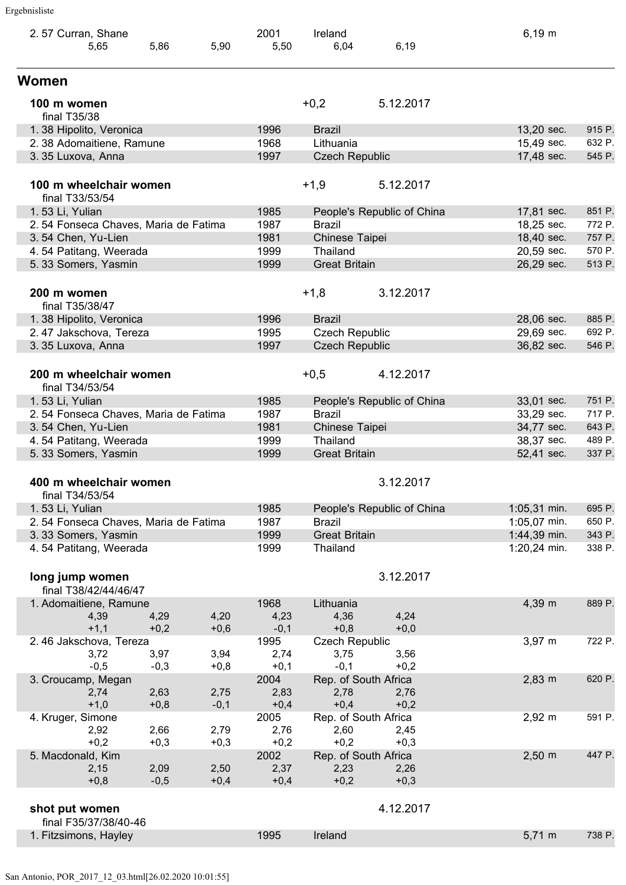| 2.57 Curran, Shane                        |        |        | 2001   | Ireland               |                            | $6,19 \; m$        |        |
|-------------------------------------------|--------|--------|--------|-----------------------|----------------------------|--------------------|--------|
| 5,65                                      | 5,86   | 5,90   | 5,50   | 6,04                  | 6,19                       |                    |        |
| Women                                     |        |        |        |                       |                            |                    |        |
| 100 m women                               |        |        |        | $+0,2$                | 5.12.2017                  |                    |        |
| final T35/38                              |        |        |        |                       |                            |                    |        |
| 1.38 Hipolito, Veronica                   |        |        | 1996   | <b>Brazil</b>         |                            | 13,20 sec.         | 915 P. |
| 2.38 Adomaitiene, Ramune                  |        |        | 1968   | Lithuania             |                            | 15,49 sec.         | 632 P. |
| 3.35 Luxova, Anna                         |        |        | 1997   | <b>Czech Republic</b> |                            | 17,48 sec.         | 545 P. |
| 100 m wheelchair women<br>final T33/53/54 |        |        |        | $+1,9$                | 5.12.2017                  |                    |        |
| 1.53 Li, Yulian                           |        |        | 1985   |                       | People's Republic of China | 17,81 sec.         | 851 P. |
| 2.54 Fonseca Chaves, Maria de Fatima      |        |        | 1987   | <b>Brazil</b>         |                            | 18,25 sec.         | 772 P. |
| 3.54 Chen, Yu-Lien                        |        |        | 1981   | Chinese Taipei        |                            | 18,40 sec.         | 757 P. |
| 4.54 Patitang, Weerada                    |        |        | 1999   | Thailand              |                            | 20,59 sec.         | 570 P. |
| 5.33 Somers, Yasmin                       |        |        | 1999   | <b>Great Britain</b>  |                            | 26,29 sec.         | 513 P. |
|                                           |        |        |        |                       |                            |                    |        |
| 200 m women<br>final T35/38/47            |        |        |        | $+1,8$                | 3.12.2017                  |                    |        |
| 1.38 Hipolito, Veronica                   |        |        | 1996   | <b>Brazil</b>         |                            | 28,06 sec.         | 885 P. |
| 2.47 Jakschova, Tereza                    |        |        | 1995   | <b>Czech Republic</b> |                            | 29,69 sec.         | 692 P. |
| 3.35 Luxova, Anna                         |        |        | 1997   | <b>Czech Republic</b> |                            | 36,82 sec.         | 546 P. |
|                                           |        |        |        |                       |                            |                    |        |
| 200 m wheelchair women                    |        |        |        | $+0,5$                | 4.12.2017                  |                    |        |
| final T34/53/54                           |        |        |        |                       |                            |                    |        |
| 1.53 Li, Yulian                           |        |        | 1985   |                       | People's Republic of China | 33,01 sec.         | 751 P. |
| 2.54 Fonseca Chaves, Maria de Fatima      |        |        | 1987   | <b>Brazil</b>         |                            | 33,29 sec.         | 717 P. |
| 3.54 Chen, Yu-Lien                        |        |        | 1981   | Chinese Taipei        |                            | 34,77 sec.         | 643 P. |
| 4.54 Patitang, Weerada                    |        |        | 1999   | Thailand              |                            | 38,37 sec.         | 489 P. |
| 5.33 Somers, Yasmin                       |        |        | 1999   | <b>Great Britain</b>  |                            | 52,41 sec.         | 337 P. |
|                                           |        |        |        |                       |                            |                    |        |
| 400 m wheelchair women                    |        |        |        |                       | 3.12.2017                  |                    |        |
| final T34/53/54                           |        |        |        |                       |                            |                    |        |
| 1.53 Li, Yulian                           |        |        | 1985   |                       | People's Republic of China | 1:05,31 min.       | 695 P. |
| 2.54 Fonseca Chaves, Maria de Fatima      |        |        | 1987   | <b>Brazil</b>         |                            | 1:05,07 min.       | 650 P. |
| 3.33 Somers, Yasmin                       |        |        | 1999   | <b>Great Britain</b>  |                            | 1:44,39 min.       | 343 P. |
| 4.54 Patitang, Weerada                    |        |        | 1999   | Thailand              |                            | 1:20,24 min.       | 338 P. |
|                                           |        |        |        |                       |                            |                    |        |
| long jump women<br>final T38/42/44/46/47  |        |        |        |                       | 3.12.2017                  |                    |        |
| 1. Adomaitiene, Ramune                    |        |        | 1968   | Lithuania             |                            | 4,39 m             | 889 P. |
| 4,39                                      | 4,29   | 4,20   | 4,23   | 4,36                  | 4,24                       |                    |        |
| $+1,1$                                    | $+0,2$ | $+0,6$ | $-0,1$ | $+0,8$                | $+0,0$                     |                    |        |
| 2.46 Jakschova, Tereza                    |        |        | 1995   | <b>Czech Republic</b> |                            | $3,97 \; m$        | 722 P. |
| 3,72                                      | 3,97   | 3,94   | 2,74   | 3,75                  | 3,56                       |                    |        |
| $-0,5$                                    | $-0,3$ | $+0,8$ | $+0,1$ | $-0,1$                | $+0,2$                     |                    |        |
| 3. Croucamp, Megan                        |        |        | 2004   |                       | Rep. of South Africa       | $2,83 \, m$        | 620 P. |
| 2,74                                      | 2,63   | 2,75   | 2,83   | 2,78                  | 2,76                       |                    |        |
| $+1,0$                                    | $+0,8$ | $-0,1$ | $+0,4$ | $+0,4$                | $+0,2$                     |                    |        |
| 4. Kruger, Simone                         |        |        | 2005   | Rep. of South Africa  |                            | $2,92 \, m$        | 591 P. |
| 2,92                                      | 2,66   | 2,79   | 2,76   | 2,60                  | 2,45                       |                    |        |
| $+0,2$                                    | $+0,3$ | $+0,3$ | $+0,2$ | $+0,2$                | $+0,3$                     |                    |        |
| 5. Macdonald, Kim                         |        |        | 2002   |                       | Rep. of South Africa       | $2,50 \, \text{m}$ | 447 P. |
| 2,15                                      | 2,09   | 2,50   | 2,37   | 2,23                  | 2,26                       |                    |        |
| $+0,8$                                    | $-0,5$ | $+0,4$ | $+0,4$ | $+0,2$                | $+0,3$                     |                    |        |
|                                           |        |        |        |                       |                            |                    |        |
| shot put women                            |        |        |        |                       | 4.12.2017                  |                    |        |
| final F35/37/38/40-46                     |        |        |        |                       |                            |                    |        |
| 1. Fitzsimons, Hayley                     |        |        | 1995   | Ireland               |                            | $5,71 \; m$        | 738 P. |
|                                           |        |        |        |                       |                            |                    |        |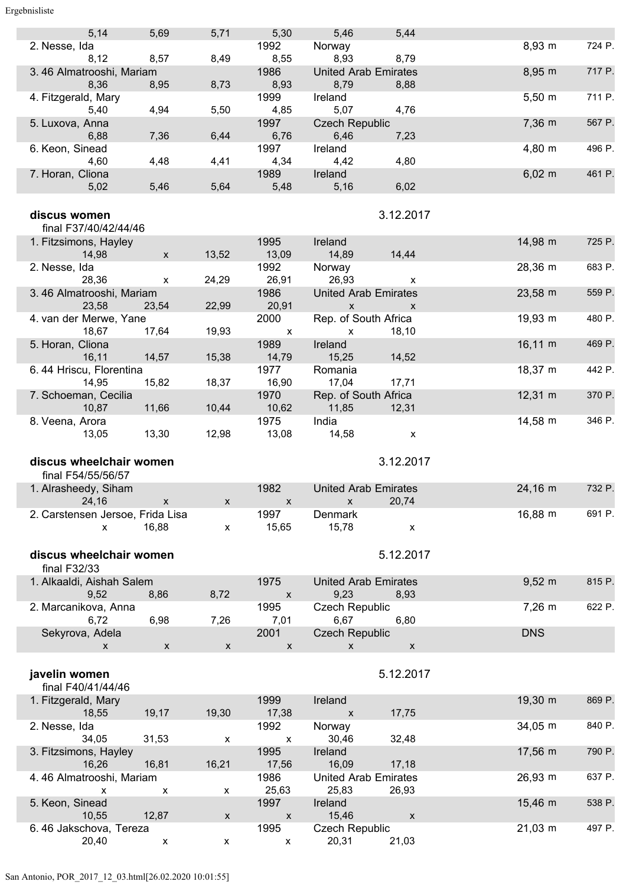#### Ergebnisliste

|                                                  | 5,69                      | 5,71                      | 5,30                                       | 5,46                                        | 5,44                        |                     |        |
|--------------------------------------------------|---------------------------|---------------------------|--------------------------------------------|---------------------------------------------|-----------------------------|---------------------|--------|
| 5,14<br>2. Nesse, Ida<br>8,12                    | 8,57                      | 8,49                      | 1992<br>8,55                               | Norway<br>8,93                              | 8,79                        | 8,93 m              | 724 P. |
| 3.46 Almatrooshi, Mariam<br>8,36                 | 8,95                      | 8,73                      | 1986<br>8,93                               | <b>United Arab Emirates</b><br>8,79         | 8,88                        | 8,95 m              | 717 P. |
| 4. Fitzgerald, Mary                              |                           |                           | 1999                                       | Ireland                                     |                             | $5,50 \; m$         | 711 P. |
| 5,40<br>5. Luxova, Anna                          | 4,94                      | 5,50                      | 4,85<br>1997                               | 5,07<br><b>Czech Republic</b>               | 4,76                        | 7,36 m              | 567 P. |
| 6,88<br>6. Keon, Sinead                          | 7,36                      | 6,44                      | 6,76<br>1997                               | 6,46<br>Ireland                             | 7,23                        | 4,80 m              | 496 P. |
| 4,60<br>7. Horan, Cliona                         | 4,48                      | 4,41                      | 4,34<br>1989                               | 4,42<br>Ireland                             | 4,80                        | $6,02 \, m$         | 461 P. |
| 5,02                                             | 5,46                      | 5,64                      | 5,48                                       | 5,16                                        | 6,02                        |                     |        |
| discus women<br>final F37/40/42/44/46            |                           |                           |                                            |                                             | 3.12.2017                   |                     |        |
| 1. Fitzsimons, Hayley<br>14,98                   | $\boldsymbol{\mathsf{x}}$ | 13,52                     | 1995<br>13,09                              | <b>Ireland</b><br>14,89                     | 14,44                       | 14,98 m             | 725 P. |
| 2. Nesse, Ida<br>28,36                           | $\boldsymbol{\mathsf{X}}$ | 24,29                     | 1992<br>26,91                              | Norway<br>26,93                             | $\boldsymbol{\mathsf{X}}$   | 28,36 m             | 683 P. |
| 3.46 Almatrooshi, Mariam<br>23,58                | 23,54                     | 22,99                     | 1986<br>20,91                              | <b>United Arab Emirates</b><br>$\mathsf X$  | $\mathsf{x}$                | 23,58 m             | 559 P. |
| 4. van der Merwe, Yane<br>18,67                  | 17,64                     | 19,93                     | 2000<br>$\mathsf{x}$                       | Rep. of South Africa<br>$\mathsf{x}$        | 18,10                       | 19,93 m             | 480 P. |
| 5. Horan, Cliona<br>16,11                        | 14,57                     | 15,38                     | 1989<br>14,79                              | Ireland<br>15,25                            | 14,52                       | $16,11 \; m$        | 469 P. |
| 6.44 Hriscu, Florentina<br>14,95                 | 15,82                     | 18,37                     | 1977<br>16,90                              | Romania<br>17,04                            | 17,71                       | $18,37 \; m$        | 442 P. |
| 7. Schoeman, Cecilia<br>10,87                    | 11,66                     | 10,44                     | 1970<br>10,62                              | Rep. of South Africa<br>11,85               | 12,31                       | $12,31 \; m$        | 370 P. |
| 8. Veena, Arora<br>13,05                         | 13,30                     | 12,98                     | 1975<br>13,08                              | India<br>14,58                              | $\boldsymbol{\mathsf{x}}$   | $14,58 \; m$        | 346 P. |
|                                                  |                           |                           |                                            |                                             |                             |                     |        |
|                                                  |                           |                           |                                            |                                             |                             |                     |        |
| discus wheelchair women<br>final F54/55/56/57    |                           |                           |                                            |                                             | 3.12.2017                   |                     |        |
| 1. Alrasheedy, Siham<br>24,16                    | $\mathsf{x}$              | $\boldsymbol{\mathsf{x}}$ | 1982<br>$\boldsymbol{\mathsf{x}}$          | <b>United Arab Emirates</b><br>$\mathsf{x}$ | 20,74                       | 24,16 m             | 732 P. |
| 2. Carstensen Jersoe, Frida Lisa<br>$\mathsf{x}$ | 16,88                     | $\pmb{\mathsf{X}}$        | 1997<br>15,65                              | Denmark<br>15,78                            | $\pmb{\mathsf{X}}$          | 16,88 m             | 691 P. |
| discus wheelchair women                          |                           |                           |                                            |                                             | 5.12.2017                   |                     |        |
| final F32/33                                     |                           |                           |                                            |                                             |                             |                     |        |
| 1. Alkaaldi, Aishah Salem<br>9,52                | 8,86                      | 8,72                      | 1975<br>$\pmb{\mathsf{X}}$                 | <b>United Arab Emirates</b><br>9,23         | 8,93                        | $9,52 \, m$         | 815 P. |
| 2. Marcanikova, Anna<br>6,72                     | 6,98                      | 7,26                      | 1995<br>7,01                               | <b>Czech Republic</b><br>6,67               | 6,80                        | $7,26 \, m$         | 622 P. |
| Sekyrova, Adela<br>$\boldsymbol{\mathsf{x}}$     | $\pmb{\mathsf{X}}$        | $\boldsymbol{\mathsf{X}}$ | 2001<br>$\mathsf X$                        | <b>Czech Republic</b><br>$\mathsf{x}$       | $\pmb{\mathsf{x}}$          | <b>DNS</b>          |        |
| javelin women                                    |                           |                           |                                            |                                             | 5.12.2017                   |                     |        |
| final F40/41/44/46<br>1. Fitzgerald, Mary        |                           |                           | 1999                                       | Ireland<br>$\boldsymbol{\mathsf{x}}$        |                             | 19,30 m             | 869 P. |
| 18,55<br>2. Nesse, Ida<br>34,05                  | 19,17<br>31,53            | 19,30<br>X                | 17,38<br>1992<br>$\boldsymbol{\mathsf{x}}$ | Norway<br>30,46                             | 17,75<br>32,48              | $34,05 \, \text{m}$ | 840 P. |
| 3. Fitzsimons, Hayley<br>16,26                   | 16,81                     |                           | 1995<br>17,56                              | Ireland<br>16,09                            | 17,18                       | 17,56 m             | 790 P. |
| 4.46 Almatrooshi, Mariam<br>$\mathsf{x}$         | X                         | 16,21<br>X                | 1986                                       | <b>United Arab Emirates</b>                 |                             | 26,93 m             | 637 P. |
| 5. Keon, Sinead<br>10,55                         | 12,87                     | $\pmb{\mathsf{X}}$        | 25,63<br>1997<br>$\mathsf X$               | 25,83<br>Ireland<br>15,46                   | 26,93<br>$\pmb{\mathsf{X}}$ | 15,46 m             | 538 P. |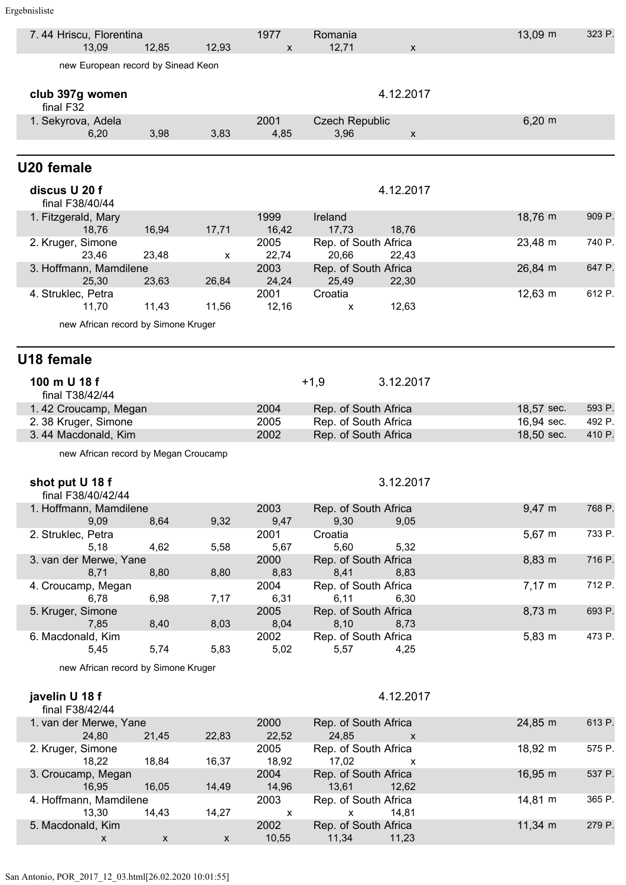| 7.44 Hriscu, Florentina<br>13,09            | 12,85              | 12,93                     | 1977<br>X            | Romania<br>12,71                             | $\pmb{\mathsf{X}}$ | 13,09 m                  | 323 P.           |
|---------------------------------------------|--------------------|---------------------------|----------------------|----------------------------------------------|--------------------|--------------------------|------------------|
| new European record by Sinead Keon          |                    |                           |                      |                                              |                    |                          |                  |
|                                             |                    |                           |                      |                                              |                    |                          |                  |
| club 397g women<br>final F32                |                    |                           |                      |                                              | 4.12.2017          |                          |                  |
| 1. Sekyrova, Adela                          |                    |                           | 2001                 | <b>Czech Republic</b>                        |                    | $6,20 \; m$              |                  |
| 6,20                                        | 3,98               | 3,83                      | 4,85                 | 3,96                                         | $\pmb{\mathsf{X}}$ |                          |                  |
| U20 female                                  |                    |                           |                      |                                              |                    |                          |                  |
| discus U 20 f                               |                    |                           |                      |                                              | 4.12.2017          |                          |                  |
| final F38/40/44                             |                    |                           |                      |                                              |                    |                          |                  |
| 1. Fitzgerald, Mary<br>18,76                | 16,94              | 17,71                     | 1999<br>16,42        | Ireland<br>17,73                             | 18,76              | 18,76 m                  | 909 P.           |
| 2. Kruger, Simone                           |                    |                           | 2005                 | Rep. of South Africa                         |                    | 23,48 m                  | 740 P.           |
| 23,46<br>3. Hoffmann, Mamdilene             | 23,48              | х                         | 22,74<br>2003        | 20,66<br>Rep. of South Africa                | 22,43              | 26,84 m                  | 647 P.           |
| 25,30<br>4. Struklec, Petra                 | 23,63              | 26,84                     | 24,24<br>2001        | 25,49<br>Croatia                             | 22,30              | 12,63 m                  | 612 P.           |
| 11,70                                       | 11,43              | 11,56                     | 12,16                | X                                            | 12,63              |                          |                  |
| new African record by Simone Kruger         |                    |                           |                      |                                              |                    |                          |                  |
| U18 female                                  |                    |                           |                      |                                              |                    |                          |                  |
| 100 m U 18 f                                |                    |                           |                      | $+1,9$                                       | 3.12.2017          |                          |                  |
| final T38/42/44                             |                    |                           |                      |                                              |                    |                          |                  |
| 1.42 Croucamp, Megan                        |                    |                           | 2004                 | Rep. of South Africa                         |                    | 18,57 sec.               | 593 P.           |
| 2. 38 Kruger, Simone<br>3.44 Macdonald, Kim |                    |                           | 2005<br>2002         | Rep. of South Africa<br>Rep. of South Africa |                    | 16,94 sec.<br>18,50 sec. | 492 P.<br>410 P. |
| new African record by Megan Croucamp        |                    |                           |                      |                                              |                    |                          |                  |
|                                             |                    |                           |                      |                                              |                    |                          |                  |
| shot put U 18 f<br>final F38/40/42/44       |                    |                           |                      |                                              | 3.12.2017          |                          |                  |
| 1. Hoffmann, Mamdilene                      |                    |                           | 2003                 | Rep. of South Africa                         |                    | $9,47 \; m$              | 768 P.           |
| 9,09                                        | 8,64               | 9,32                      | 9,47                 | 9,30                                         | 9,05               |                          |                  |
| 2. Struklec, Petra<br>5,18                  | 4,62               | 5,58                      | 2001<br>5,67         | Croatia<br>5,60                              | 5,32               | 5,67 m                   | 733 P.           |
| 3. van der Merwe, Yane                      |                    |                           | 2000                 | Rep. of South Africa                         |                    | 8,83 m                   | 716 P.           |
| 8,71<br>4. Croucamp, Megan                  | 8,80               | 8,80                      | 8,83<br>2004         | 8,41<br>Rep. of South Africa                 | 8,83               | $7,17 \; m$              | 712 P.           |
| 6,78                                        | 6,98               | 7,17                      | 6,31                 | 6,11                                         | 6,30               |                          |                  |
| 5. Kruger, Simone<br>7,85                   | 8,40               | 8,03                      | 2005<br>8,04         | Rep. of South Africa<br>8,10                 | 8,73               | 8,73 m                   | 693 P.           |
| 6. Macdonald, Kim                           |                    |                           | 2002                 | Rep. of South Africa                         |                    | $5,83 \; m$              | 473 P.           |
| 5,45                                        | 5,74               | 5,83                      | 5,02                 | 5,57                                         | 4,25               |                          |                  |
| new African record by Simone Kruger         |                    |                           |                      |                                              |                    |                          |                  |
| javelin U 18 f<br>final F38/42/44           |                    |                           |                      |                                              | 4.12.2017          |                          |                  |
| 1. van der Merwe, Yane<br>24,80             | 21,45              | 22,83                     | 2000<br>22,52        | Rep. of South Africa<br>24,85                | $\mathsf{x}$       | 24,85 m                  | 613 P.           |
| 2. Kruger, Simone<br>18,22                  | 18,84              | 16,37                     | 2005<br>18,92        | Rep. of South Africa<br>17,02                | X                  | 18,92 m                  | 575 P.           |
| 3. Croucamp, Megan<br>16,95                 | 16,05              | 14,49                     | 2004<br>14,96        | Rep. of South Africa<br>13,61                | 12,62              | 16,95 m                  | 537 P.           |
| 4. Hoffmann, Mamdilene                      |                    |                           | 2003                 | Rep. of South Africa                         |                    | 14,81 m                  | 365 P.           |
| 13,30<br>5. Macdonald, Kim                  | 14,43              | 14,27                     | $\mathsf{x}$<br>2002 | $\mathsf{x}$<br>Rep. of South Africa         | 14,81              | 11,34 m                  | 279 P.           |
| X                                           | $\pmb{\mathsf{X}}$ | $\boldsymbol{\mathsf{X}}$ | 10,55                | 11,34                                        | 11,23              |                          |                  |